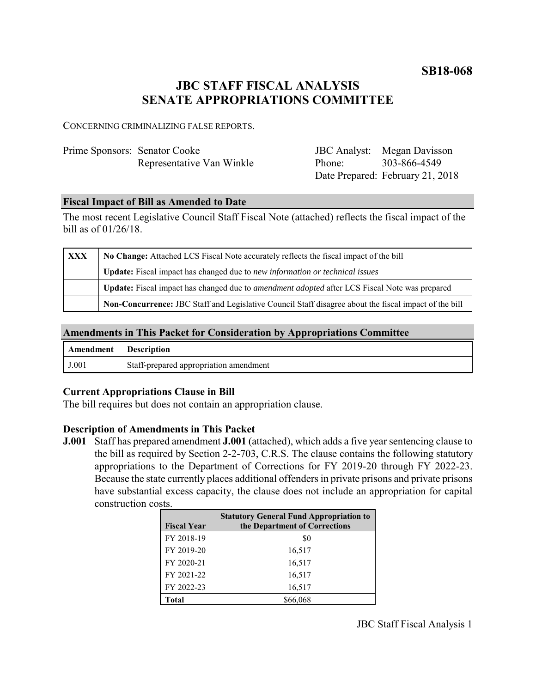**SB18-068**

# **JBC STAFF FISCAL ANALYSIS SENATE APPROPRIATIONS COMMITTEE**

CONCERNING CRIMINALIZING FALSE REPORTS.

| Prime Sponsors: Senator Cooke |                           |  |
|-------------------------------|---------------------------|--|
|                               | Representative Van Winkle |  |

| <b>JBC</b> Analyst: | Megan Davisson                   |
|---------------------|----------------------------------|
| Phone:              | 303-866-4549                     |
|                     | Date Prepared: February 21, 2018 |

#### **Fiscal Impact of Bill as Amended to Date**

The most recent Legislative Council Staff Fiscal Note (attached) reflects the fiscal impact of the bill as of 01/26/18.

| XXX | No Change: Attached LCS Fiscal Note accurately reflects the fiscal impact of the bill                 |  |
|-----|-------------------------------------------------------------------------------------------------------|--|
|     | <b>Update:</b> Fiscal impact has changed due to new information or technical issues                   |  |
|     | Update: Fiscal impact has changed due to <i>amendment adopted</i> after LCS Fiscal Note was prepared  |  |
|     | Non-Concurrence: JBC Staff and Legislative Council Staff disagree about the fiscal impact of the bill |  |

#### **Amendments in This Packet for Consideration by Appropriations Committee**

| Amendment | <b>Description</b>                     |
|-----------|----------------------------------------|
| J.001     | Staff-prepared appropriation amendment |

## **Current Appropriations Clause in Bill**

The bill requires but does not contain an appropriation clause.

## **Description of Amendments in This Packet**

**J.001** Staff has prepared amendment **J.001** (attached), which adds a five year sentencing clause to the bill as required by Section 2-2-703, C.R.S. The clause contains the following statutory appropriations to the Department of Corrections for FY 2019-20 through FY 2022-23. Because the state currently places additional offenders in private prisons and private prisons have substantial excess capacity, the clause does not include an appropriation for capital construction costs.

| <b>Fiscal Year</b> | <b>Statutory General Fund Appropriation to</b><br>the Department of Corrections |
|--------------------|---------------------------------------------------------------------------------|
| FY 2018-19         | \$0                                                                             |
| FY 2019-20         | 16,517                                                                          |
| FY 2020-21         | 16,517                                                                          |
| FY 2021-22         | 16,517                                                                          |
| FY 2022-23         | 16,517                                                                          |
| Total              | \$66.068                                                                        |